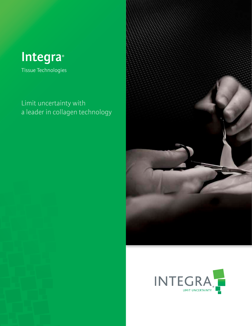

Tissue Technologies

## Limit uncertainty with a leader in collagen technology



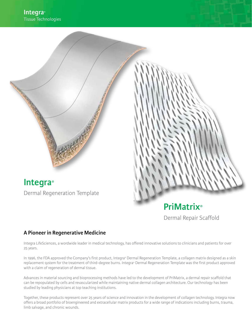**Integra®** Dermal Regeneration Template

# **PriMatrix®** Dermal Repair Scaffold

## **A Pioneer in Regenerative Medicine**

Integra LifeSciences, a wordwide leader in medical technology, has offered innovative solutions to clinicians and patients for over 25 years.

In 1996, the FDA approved the Company's first product, Integra® Dermal Regeneration Template, a collagen matrix designed as a skin replacement system for the treatment of third-degree burns. Integra® Dermal Regeneration Template was the first product approved with a claim of regeneration of dermal tissue.

Advances in material sourcing and bioprocessing methods have led to the development of PriMatrix, a dermal repair scaffold that can be repopulated by cells and revascularized while maintaining native dermal collagen architecture. Our technology has been studied by leading physicians at top teaching institutions.

Together, these products represent over 25 years of science and innovation in the development of collagen technology. Integra now offers a broad portfolio of bioengineered and extracellular matrix products for a wide range of indications including burns, trauma, limb salvage, and chronic wounds.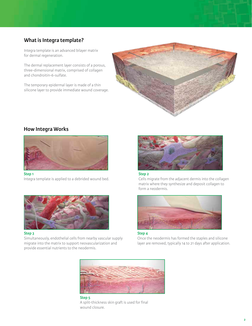## **What is Integra template?**

Integra template is an advanced bilayer matrix for dermal regeneration.

The dermal replacement layer consists of a porous, three-dimensional matrix, comprised of collagen and chondroitin-6-sulfate.

The temporary epidermal layer is made of a thin silicone layer to provide immediate wound coverage.



## **How Integra Works**



**Step 1**

Integra template is applied to a debrided wound bed.



#### **Step 3**

Simultaneously, endothelial cells from nearby vascular supply migrate into the matrix to support neovascularization and provide essential nutrients to the neodermis.



## **Step 2**

Cells migrate from the adjacent dermis into the collagen matrix where they synthesize and deposit collagen to form a neodermis.



**Step 4**

Once the neodermis has formed the staples and silicone layer are removed, typically 14 to 21 days after application.



**Step 5** A split-thickness skin graft is used for final wound closure.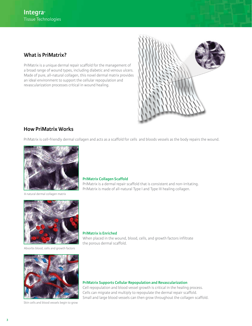## **What is PriMatrix?**

PriMatrix is a unique dermal repair scaffold for the management of a broad range of wound types, including diabetic and venous ulcers. Made of pure, all-natural collagen, this novel dermal matrix provides an ideal environment to support the cellular repopulation and revascularization processes critical in wound healing.



## **How PriMatrix Works**

PriMatrix is cell-friendly dermal collagen and acts as a scaffold for cells and bloods vessels as the body repairs the wound.



A natural dermal collagen matrix



Absorbs blood, cells and growth factors



Skin cells and blood vessels begin to grow

### **PriMatrix Collagen Scaffold**

PriMatrix is a dermal repair scaffold that is consistent and non-irritating. PriMatrix is made of all-natural Type I and Type III healing collagen.

**PriMatrix is Enriched**  When placed in the wound, blood, cells, and growth factors infiltrate the porous dermal scaffold.

**PriMatrix Supports Cellular Repopulation and Revascularization** 

Cell repopulation and blood vessel growth is critical in the healing process. Cells can migrate and multiply to repopulate the dermal repair scaffold. Small and large blood vessels can then grow throughout the collagen scaffold.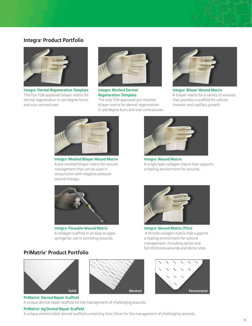## **Integra® Product Portfolio**



**Integra® Dermal Regeneration Template** The first FDA approved bilayer matrix for dermal regeneration in 3rd degree burns and scar contractures.



**Integra® Meshed Dermal Regeneration Template** The only FDA approved pre-meshed bilayer matrix for dermal regeneration in 3rd degree burn and scar contractures.



**Integra® Bilayer Wound Matrix** A bilayer matrix for a variety of wounds that provides a scaffold for cellular invasion and capillary growth.



**Integra® Meshed Bilayer Wound Matrix** A pre-meshed bilayer matrix for wound management that can be used in conjunction with negative pressure wound therapy.



**Integra® Flowable Wound Matrix**  A collagen scaffold in an easy to apply syringe for use in tunneling wounds.

# A single layer collagen matrix that supports a healing environment for wounds.

**Integra® Wound Matrix**

**Integra® Wound Matrix (Thin)** A thinner collagen matrix that supports a healing environment for wound management, including partial and full-thickness wounds and donor sites.

## **PriMatrix® Product Portfolio**







**PriMatrix® Dermal Repair Scaffold**

A unique dermal repair scaffold for the management of challenging wounds.

## **PriMatrix® Ag Dermal Repair Scaffold**

A unique antimicrobial dermal scaffold containing Ionic Silver for the management of challenging wounds.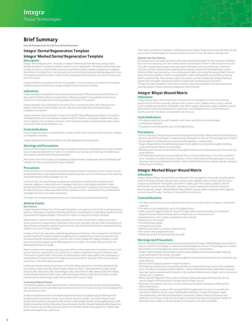## **Brief Summary**

**Consult Package Insert for Full Prescribing Information**

#### **Integra® Dermal Regeneration Template**

#### **Integra® Meshed Dermal Regeneration Template Description**

Integra® Dermal Regeneration Template, available in Meshed and Non-Meshed configurations<br>(Integra template) is a bilayer membrane system for skin replacement. The dermal replacement layer is made of a porous matrix of fibers of cross-linked bovine tendon collagen and glycosaminoglycan (chondroitin-6-sulfate) that is manufactured with a controlled porosity and defined degradation rate. The epidermal substitute layer is made of a thin polysiloxane (silicone) layer to control moisture loss from the wound.

Integra template is provided sterile and non-pyrogenic. The inner foil pouch and product should be handled using sterile technique. Integra template should not be re-sterilized.

#### **Indications**

Integra template is indicated for the postexcisional treatment of life-threatening full-thickness or deep partial-thickness thermal injuries where sufficient autograft is not available at the time of excision or not desirable due to the physiological condition of the patient.

Integra template is also indicated for the repair of scar contractures when other therapies have failed or when donor sites for repair are not sufficient or desirable due to the physiological condition of the patient.

Integra template is also marketed as Integra® Omnigraft™ Dermal Regeneration Matrix. Omnigraft is indicated for the use in the treatment of partial and full-thickness neuropathic diabetic foot ulcers that are greater than six weeks in duration, with no capsule, tendon or bone exposed, when used in conjunction with standard diabetic care.

#### **Contraindications**

Use of Integra template is contraindicated in patients with known hypersensitivity to bovine collagen or chondroitin materials.

Integra template should not be used on clinically diagnosed infected wounds.

#### **Warnings and Precautions**

Excision of the wound must be performed thoroughly to remove all coagulation eschar and nonviable tissue. Integra template will not "take" to nonviable tissue. Leaving any remaining nonviable tissue may create an environment for bacterial growth.

Hemostasis must be achieved prior to applying Integra template. Inadequate control of bleeding will interfere with the incorporation of Integra template.

#### **Precautions**

There have been no clinical studies evaluating Integra template in pregnant women. Caution should be exercised before using Integra template in pregnant women. Such use should occur only when the anticipated benefit clearly outweighs the risk.

In clinical trials, the use of Integra template was evaluated in a small number of patients with chemical, radiation, or electrical burns. A surgeon's decision to use Integra template on these wounds should be based on their evaluation of the wound and its suitability to excisional therapy, the likelihood that a viable wound bed will be created by excision, and whether the possible benefit outweighs the risk in this patient population.

The extent of scarring associated with the use of this product has not been determined.

#### **Adverse Events**

#### **Burn Patients**

Integra template has been found to be well tolerated in 4 prospective clinical trials involving 444 burn patients. There were no reports of clinically significant immunological or histological responses to the implantation of Integra template. There were no reports of rejection of Integra template.

Adverse events reported in the Integra template clinical trials include death, sepsis, apnea, heart<br>arrest, pneumonia, kidney failure, multisystem failure, and respiratory distress. With the exception of wound fluid accumulation, positive wound cultures, and clinical wound infection, none were directly related to the use of Integra template.

In these clinical trials, data were collected regarding wound infection. The consequences of infection at sites treated with Integra template included partial or complete loss of take (incorporation into the wound bed) of Integra template. Infection rates in sites treated with Integra template in these three clinical trials supporting the PMA ranged from 14 to 55%. The overall infection rate for the Postapproval Study was 16.3%.

Adverse events in the Postapproval study were similar to those observed in the previous clinical trials and are common in populations of critically ill burn patients regardless of type of treatment used. There were no trends noted. There were six adverse events which were rated by the investigator as being related. These events were all single occurrences except for sepsis (2). These adverse events occurring in <1% of the safety population.

Incidence of adverse events occurring in >1% of the safety population in the Post-approval Study are as follows: Sepsis (23.1%), Death (13.9%), Infection (2.8%), Thrombophlebitis (2.8%), Kidney Failure (2.8%), Necrosis (2.3%), Hemorrhage (2.3%), Heart Arrest (1.9%), Apnea (1.9%), Pneumonia (1.9%), Allergic Reaction (1.4%), Fever (1.4%), Multisystem Failure (1.4%), Atrial Fibrillation (1.4%), Gastrointestinal Hemorrhage (1.4%), Kidney Abnormal Function (1.4%).

#### **Contracture Release Patients**

The following adverse events were reported in a Reconstructive Surgery Study involving 20 patients with 30 anatomical sites and a Retrospective Reconstruction Contracture Survey involving 89 patients and 127 anatomic sites.

Incidence of adverse events in the Reconstructive Contracture Surgery Study and Retrospective Contracture Reconstruction Survey are as follows: Infection (0.0%), Fluid under Silicone Layer (0.0%), Partial graft loss (Integra) (0.0%), Failure to take (Integra) (0.0%), Shearing/Mechanical shift (3.3%), Hematoma (16.7%), Granulation tissue formation (0.0%), Delayed Healing (0.0%), Separation of the Silicone Layer (0.0%), Seroma (0.0%), Pruritis (0.0%), Epidermal autograft loss >15% (6.7%), Epidermal autograft loss <15% (23.3).

There were no infections reported in the Reconstructive Surgery Study and the reported infection rate was 20.5% in the Retrospective Contracture Reconstruction Survey. No deaths were reported.

#### **Diabetic Foot Ulcer Patients**

All adverse events that were reported in the study evaluating Omnigraft for the treatment of diabetic foot ulcers at a frequency of ≥ 1% in either cohort are presented in Table 1 in the Instructions for Use. This table includes adverse events that were both attributed to and not attributed to treatment. The most common adverse events experienced by patients treated with Omnigraft were: wound infection (15%); new, worsening, or recurring wounds (14%); pain around the wound (9%); infection beyond the wound (either cellulitis or osteomyelitis, 14%); swelling (5%); nausea (5%); worsening health condition (4%). These adverse events occurred in a similar or lower percentage of patients treated with Omnigraft compared to patients treated with standard wound care alone. The sale of Integra template is restricted to clinicians who have completed a company sponsored training program. Product training is available at ilstraining.com

#### **Integra® Bilayer Wound Matrix Indications**

Integra® Bilayer Matrix Wound Dressing is indicated for the management of wounds including: partial and full-thickness wounds, pressure ulcers, venous ulcers, diabetic ulcers, chronic vascular ulcers, surgical wounds (donor sites/grafts, post-Moh's surgery, post-laser surgery, podiatric, wound dehiscence), trauma wounds (abrasions, lacerations, second-degree burns, and skin tears) and draining wounds. The device is intended for one-time use.

#### **Contraindicatons**

•This device should not be used in patients with known sensitivity to bovine collagen or chondroitin materials.

• The device is not indicated for use in third-degree burns.

#### **Precautions**

• Do not resterilize. Discard all opened and unused portions of Integra® Bilayer Matrix Wound Dressing. • Device is sterile if the package is unopened and undamaged. Do not use if the package seal is broken.

- Discard device if mishandling has caused possible damage or contamination. • Integra® Bilayer Matrix Wound Dressing should not be applied until excessive exudate, bleeding,
- acute swelling and infection are controlled. • Debridement or excision must be done thoroughly to remove any remaining necrotic tissue that may cause infection.
- The following complications are possible with the use of wound dressings. If any of the conditions occur, the device should be removed: infection, chronic inflammation (initial application of wound dressings may be associated with transient, mild, localized inflammation), allergic reaction, excessive redness, pain or swelling.

#### **Integra® Meshed Bilayer Wound Matrix Indications**

Integra® Meshed Bilayer Wound Matrix is indicated for the management of wounds including: partial and full-thickness wounds, pressure ulcers, venous ulcers, diabetic ulcers, chronic vascular ulcers, surgical wounds (donor sites/ grafts, post-Moh's surgery, post-laser surgery, podiatric, wound dehiscence), trauma wounds (abrasions, lacerations, second-degree burns, and skin tears) and<br>draining wounds. Integraª Meshed Bilayer Wound Matrix may be used in conjunction with negative pressure wound therapy. The device is intended for one-time use.

#### **Contraindications**

• This device should not be used in patients with known sensitivity to bovine collagen or chondroitin materials.

- This device is not indicated for use in third-degree burns.
- When used with Negative Pressure Wound Therapy, follow Contraindications for the specific Negative Pressure Wound Therapy device utilized, such as in the presence of:
- Exposed arteries, veins, organs, anastomotic sites or nerves
- Malignancy in the wound Untreated osteomyelitis
- Untreated malnutrition
- Necrotic tissue (with or without eschar present)
- Non-enteric and unexplored fistulas
- Sensitivity to silver (if silver dressings are used)

#### **Warnings And Precautions**

• Do not resterilize. Discard all opened and unused portions of Integra® Meshed Bilayer Wound Matrix.

- Device is sterile if the package is unopened and undamaged. Do not use if the package seal is broken. Discard device if mishandling has caused possible damage or contamination.
- Integra® Meshed Bilayer Wound Matrix should not be applied until excessive exudate, bleeding, acute swelling and infection are controlled.
- Debridement or excision must be done thoroughly to remove any remaining necrotic tissue that may cause infection.
- Do not stretch, expand, spread or remesh the device.
- The following complications are possible with the use of wound dressings. If any of the conditions occur, the device should be removed: infection, chronic inflammation (initial application of wound dressings may be associated with transient, mild, localized inflammation), allergic reaction, excessive redness, pain or swelling.
- When used with Negative Pressure Wound Therapy, follow Warnings and Precautions for the specific Negative Pressure Wound Therapy device utilized, such as:
- Precautions for patients who are or may be receiving anticoagulant therapy or suffering from difficult hemostasis;
- Excessive bleeding is a serious risk associated with the application of suction to wounds and may result in death or serious injury. Careful patient selection, in view of the above-stated contraindications, warnings and precautions, is essential. Carefully monitor the wound and collection circuit for any evidence of a change in the blood loss status of the patient. Notify the Physician of any sudden or abrupt changes in the volume or the color of exudate.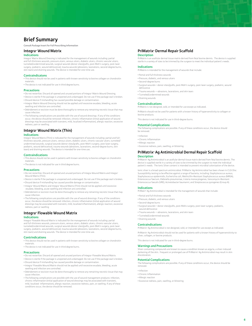## **Brief Summary**

**Consult Package Insert for Full Prescribing Information**

#### **Integra® Wound Matrix**

#### **Indications**

Integra® Matrix Wound Dressing is indicated for the management of wounds including: partial and full-thickness wounds, pressure ulcers, venous ulcers, diabetic ulcers, chronic vascular ulcers, tunneled/undermined wounds, surgical wounds (donor sites/grafts, post-Moh's surgery, post-laser surgery, podiatric, wound dehiscence), trauma wounds (abrasions, lacerations, second-degree burns, stagery, politicity, would democrately, trading wounds (abrassoris, ideality skin tears) and draining wounds. The device is intended for one-time use.

#### **Contraindicatons**

• This device should not be used in patients with known sensitivity to bovine collagen or chondroitin materials.

• The device is not indicated for use in third degree burns.

#### **Precautions**

• Do not resterilize. Discard all opened and unused portions of Integra<sup>®</sup> Matrix Wound Dressing.

• Device is sterile if the package is unopened and undamaged. Do not use if the package seal is broken. • Discard device if mishandling has caused possible damage or contamination.

- Integra® Matrix Wound Dressing should not be applied until excessive exudate, bleeding, acute swelling and infection are controlled.
- Debridement or excision must be done thoroughly to remove any remaining necrotic tissue that may cause infection.
- The following complications are possible with the use of wound dressings. If any of the conditions occur, the device should be removed: infection, chronic inflammation (initial application of wound dressings may be associated with transient, mild, localized inflammation), allergic reaction, excessive redness, pain or swelling.

## **Integra® Wound Matrix (Thin)**

#### **Indications**

Integra® Wound Matrix (Thin) is indicated for the management of wounds including: partial and fullthickness wounds, pressure ulcers, venous ulcers, diabetic ulcers, chronic vascular ulcers, tunneled/ undermined wounds, surgical wounds (donor sites/grafts, post-Moh's surgery, post-laser surgery, podiatric, wound dehiscence), trauma wounds (abrasions, lacerations, second-degree burns, skin tears) and draining wounds. The device is intended for one-time use.

#### **Contraindications**

• This device should not be used in patients with known sensitivity to bovine collagen or chondroitin materials.

• The device is not indicated for use in third degree burns.

#### **Precautions**

- Do not resterilize. Discard all opened and unused portions of Integra Wound Matrix and Integra® Wound Matrix (Thin).
- Device is sterile if the package is unopened and undamaged. Do not use if the package seal is broken. • Discard device if mishandling has caused possible damage or contamination.
- Integra® Wound Matrix and Integra® Wound Matrix (Thin) should not be applied until excessive exudate, bleeding, acute swelling and infection are controlled.

• Debridement or excision must be done thoroughly to remove any remaining necrotic tissue that may cause infection.

• The following complications are possible with the use of wound dressings. If any of the conditions occur, the device should be removed: infection, chronic inflammation (initial application of wound dressings may be associated with transient, mild, localized inflammation), allergic reaction, excessive redness, pain or swelling

#### **Integra® Flowable Wound Matrix**

#### **Indications**

Integra® Flowable Wound Matrix is indicated for the management of wounds including: partial and full-thickness wounds, pressure ulcers, venous ulcers, diabetic ulcers, chronic vascular ulcers, tunneled/undermined wounds, surgical wounds (donor sites/grafts, post-Moh's surgery, post-laser surgery, podiatric, wound dehiscence), trauma wounds (abrasions, lacerations, second-degree burns, skin tears) and draining wounds. The device is intended for one-time use.

#### **Contrindications**

• This device should not be used in patients with known sensitivity to bovine collagen or chondroitin materials.

• The device is not indicated for use in third degree burns.

#### **Precautions**

• Do not resterilize. Discard all opened and unused portions of Integra® Flowable Wound Matrix. • Device is sterile if the package is unopened and undamaged. Do not use if the package seal is broken.

• Discard device if mishandling has caused possible damage or contamination.

- Integra® Flowable Wound Matrix should not be applied until excessive exudate, bleeding, acute swelling and infection are controlled.
- Debridement or excision must be done thoroughly to remove any remaining necrotic tissue that may cause infection.
- The following complications are possible with the use of wound management products: infection, chronic inflammation (initial application of wound dressings may be associated with transient, mild, localized inflammation), allergic reaction, excessive redness, pain, or swelling. If any of these conditions occur, the device should be removed.

#### **PriMatrix® Dermal Repair Scaffold Description**

PriMatrix is an acellular dermal tissue matrix derived from fetal bovine dermis. The device is supplied sterile in a variety of sizes to be trimmed by the surgeon to meet the individual patient's needs.

#### **Indications**

PriMatrix is intended for the management of wounds that include:

- Partial and full thickness wounds
- Pressure, diabetic, and venous ulcers
- Second-degree burns
- Surgical wounds—donor sites/grafts, post-Moh's surgery, post-laser surgery, podiatric, wound dehiscence
- Trauma wounds —abrasions, lacerations, and skin tears
- Tunneled/undermined wounds
- **Contraindications**

• Draining wounds

PriMatrix is not designed, sold, or intended for use except as indicated.

PriMatrix should not be used for patients with a known history of hypersensitivity to collagen or bovine products.

This device is not indicated for use in third-degree burns.

#### **Potential Complications**

The following complications are possible. If any of these conditions occur, the device should be removed.

- Infection
- Chronic Inflammation
- Allergic reaction
- Excessive redness, pain, swelling, or blistering

## **PriMatrix® Ag Antimicrobial Dermal Repair Scaffold**

**Description** crobial is an acellular dermal tissue matrix derived from fetal bovine dermis. The device is supplied sterile in a variety of sizes to be trimmed by the surgeon to meet the individual patient's needs. The Ionic Silver content is intended to prevent microbial colonization of the device.

Ionic silver is a broad spectrum antimicrobial. PriMatrix® Ag Antimicrobial has been shown in CLSI Disc Susceptibility testing to be effective against a range of bacteria, including: Staphylococcus aureus, Staphylococcus epidermidis, Escherichia coli, Methicillin-Resistant Staphylococcus aureus (MRSA), Enterococcus faecium, Klebsiella pneumoniae, Listeria monocytogenes, Vancomycin-Resistant Enterococcus faecalis (VRE), Acinetobacter baumanni, and Streptococcus pyrogenes (Group A).

#### **Indications**

PriMatri® Ag Antimicrobial is intended for the management of wounds that include:

- Partial and full thickness wounds
- Pressure, diabetic, and venous ulcers
- Second-degree burns
- 
- Surgical wounds—donor sites/grafts, post-Mohs surgery, post-laser surgery, podiatric, wound dehiscence
- Trauma wounds —abrasions, lacerations, and skin tears
- Tunneled/undermined wounds
- Draining wounds

#### **Contraindications**

PriMatrix® Ag Antimicrobial is not designed, sold, or intended for use except as indicated.

PriMatrix® Ag Antimicrobial should not be used for patients with a known history of hypersensitivity to silver, collagen, or bovine products.

This device is not indicated for use in third-degree burns.

#### **Warnings and Precautions**

Silver-containing compounds are known to cause a condition known as argyria, a silver-induced darkening of the skin. Frequent or prolonged use of PriMatrix® Ag Antimicrobial may result in skin discoloration.

#### **Potential Complications**

The following complications are possible. If any of these conditions occur, the device should be removed.

- Infection
- Chronic Inflammation
- Allergic reaction
- Excessive redness, pain, swelling, or blistering